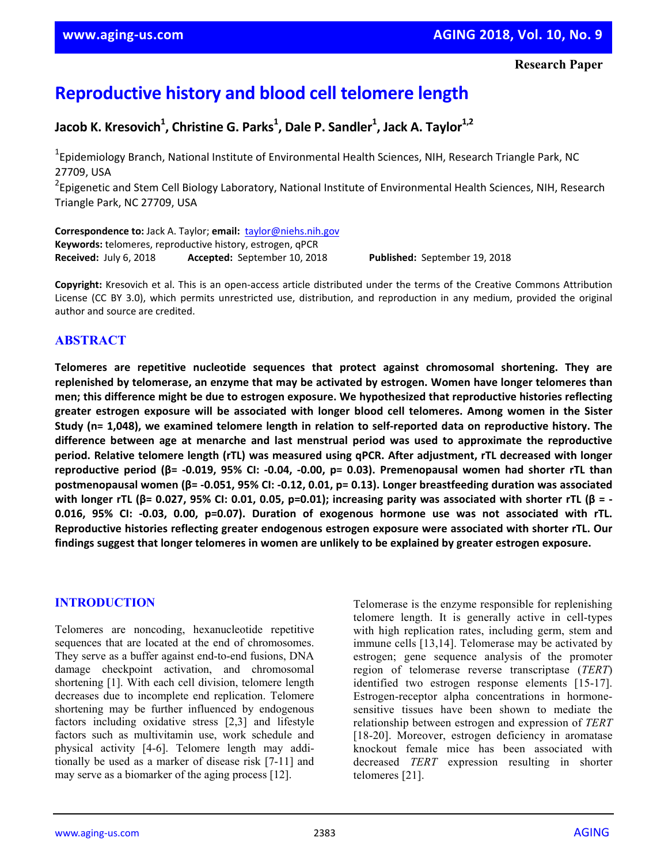# **Reproductive history and blood cell telomere length**

**Jacob K. Kresovich1 , Christine G. Parks1 , Dale P. Sandler1 , Jack A. Taylor1,2**

<sup>1</sup>Epidemiology Branch, National Institute of Environmental Health Sciences, NIH, Research Triangle Park, NC 27709, USA

<sup>2</sup>Epigenetic and Stem Cell Biology Laboratory, National Institute of Environmental Health Sciences, NIH, Research Triangle Park, NC 27709, USA

**Correspondence to:** Jack A. Taylor; **email:** taylor@niehs.nih.gov **Keywords:** telomeres, reproductive history, estrogen, qPCR **Received:** July 6, 2018 **Accepted:** September 10, 2018 **Published:** September 19, 2018

**Copyright:** Kresovich et al. This is an open‐access article distributed under the terms of the Creative Commons Attribution License (CC BY 3.0), which permits unrestricted use, distribution, and reproduction in any medium, provided the original author and source are credited.

## **ABSTRACT**

**Telomeres are repetitive nucleotide sequences that protect against chromosomal shortening. They are replenished by telomerase, an enzyme that may be activated by estrogen. Women have longer telomeres than men; this difference might be due to estrogen exposure. We hypothesized that reproductive histories reflecting greater estrogen exposure will be associated with longer blood cell telomeres. Among women in the Sister** Study (n= 1,048), we examined telomere length in relation to self-reported data on reproductive history. The **difference between age at menarche and last menstrual period was used to approximate the reproductive period. Relative telomere length (rTL) was measured using qPCR. After adjustment, rTL decreased with longer** reproductive period ( $\beta$ = -0.019, 95% CI: -0.04, -0.00, p= 0.03). Premenopausal women had shorter rTL than postmenopausal women ( $\beta$ = -0.051, 95% CI: -0.12, 0.01, p= 0.13). Longer breastfeeding duration was associated with longer rTL ( $\beta$ = 0.027, 95% CI: 0.01, 0.05, p=0.01); increasing parity was associated with shorter rTL ( $\beta$  = -**0.016, 95% CI: ‐0.03, 0.00, p=0.07). Duration of exogenous hormone use was not associated with rTL. Reproductive histories reflecting greater endogenous estrogen exposure were associated with shorter rTL. Our** findings suggest that longer telomeres in women are unlikely to be explained by greater estrogen exposure.

## **INTRODUCTION**

Telomeres are noncoding, hexanucleotide repetitive sequences that are located at the end of chromosomes. They serve as a buffer against end-to-end fusions, DNA damage checkpoint activation, and chromosomal shortening [1]. With each cell division, telomere length decreases due to incomplete end replication. Telomere shortening may be further influenced by endogenous factors including oxidative stress [2,3] and lifestyle factors such as multivitamin use, work schedule and physical activity [4-6]. Telomere length may additionally be used as a marker of disease risk [7-11] and may serve as a biomarker of the aging process [12].

Telomerase is the enzyme responsible for replenishing telomere length. It is generally active in cell-types with high replication rates, including germ, stem and immune cells [13,14]. Telomerase may be activated by estrogen; gene sequence analysis of the promoter region of telomerase reverse transcriptase (*TERT*) identified two estrogen response elements [15-17]. Estrogen-receptor alpha concentrations in hormonesensitive tissues have been shown to mediate the relationship between estrogen and expression of *TERT* [18-20]. Moreover, estrogen deficiency in aromatase knockout female mice has been associated with decreased *TERT* expression resulting in shorter telomeres [21].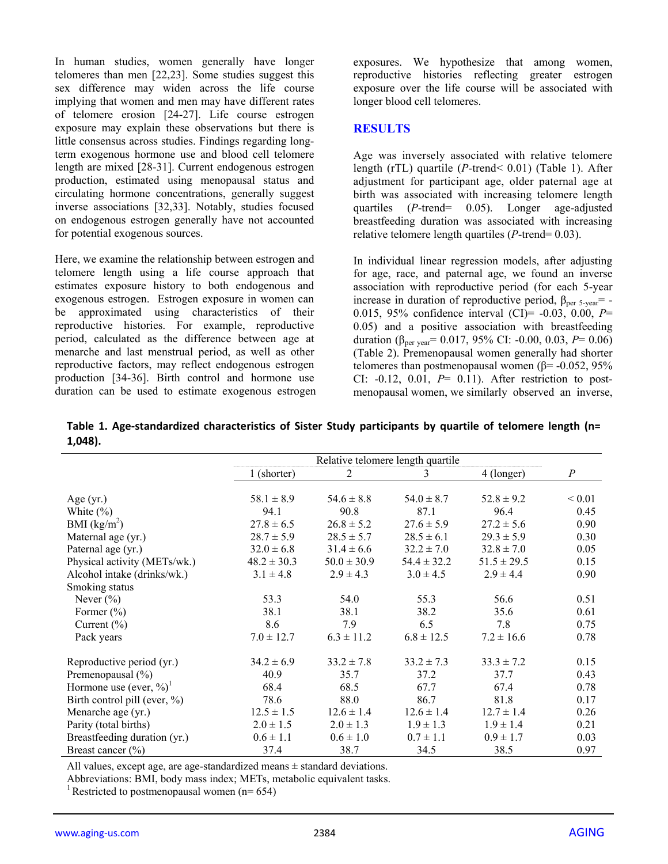In human studies, women generally have longer telomeres than men [22,23]. Some studies suggest this sex difference may widen across the life course implying that women and men may have different rates of telomere erosion [24-27]. Life course estrogen exposure may explain these observations but there is little consensus across studies. Findings regarding longterm exogenous hormone use and blood cell telomere length are mixed [28-31]. Current endogenous estrogen production, estimated using menopausal status and circulating hormone concentrations, generally suggest inverse associations [32,33]. Notably, studies focused on endogenous estrogen generally have not accounted for potential exogenous sources.

Here, we examine the relationship between estrogen and telomere length using a life course approach that estimates exposure history to both endogenous and exogenous estrogen. Estrogen exposure in women can be approximated using characteristics of their reproductive histories. For example, reproductive period, calculated as the difference between age at menarche and last menstrual period, as well as other reproductive factors, may reflect endogenous estrogen production [34-36]. Birth control and hormone use duration can be used to estimate exogenous estrogen exposures. We hypothesize that among women, reproductive histories reflecting greater estrogen exposure over the life course will be associated with longer blood cell telomeres.

## **RESULTS**

Age was inversely associated with relative telomere length (rTL) quartile (*P*-trend< 0.01) (Table 1). After adjustment for participant age, older paternal age at birth was associated with increasing telomere length quartiles (*P*-trend= 0.05). Longer age-adjusted breastfeeding duration was associated with increasing relative telomere length quartiles (*P*-trend= 0.03).

In individual linear regression models, after adjusting for age, race, and paternal age, we found an inverse association with reproductive period (for each 5-year increase in duration of reproductive period,  $\beta_{\text{per}}$  5-year = -0.015, 95% confidence interval (CI)= -0.03, 0.00, *P*= 0.05) and a positive association with breastfeeding duration (βper year= 0.017, 95% CI: -0.00, 0.03, *P*= 0.06) (Table 2). Premenopausal women generally had shorter telomeres than postmenopausal women ( $β = -0.052$ , 95% CI:  $-0.12$ ,  $0.01$ ,  $P = 0.11$ ). After restriction to postmenopausal women, we similarly observed an inverse,

**Table 1. Age‐standardized characteristics of Sister Study participants by quartile of telomere length (n= 1,048).**

|                                        | Relative telomere length quartile |                 |                 |                 |                  |
|----------------------------------------|-----------------------------------|-----------------|-----------------|-----------------|------------------|
|                                        | 1 (shorter)                       | 2               | 3               | 4 (longer)      | $\boldsymbol{P}$ |
|                                        |                                   |                 |                 |                 |                  |
| Age $(yr)$                             | $58.1 \pm 8.9$                    | $54.6 \pm 8.8$  | $54.0 \pm 8.7$  | $52.8 \pm 9.2$  | ${}_{0.01}$      |
| White $(\% )$                          | 94.1                              | 90.8            | 87.1            | 96.4            | 0.45             |
| BMI $(kg/m2)$                          | $27.8 \pm 6.5$                    | $26.8 \pm 5.2$  | $27.6 \pm 5.9$  | $27.2 \pm 5.6$  | 0.90             |
| Maternal age (yr.)                     | $28.7 \pm 5.9$                    | $28.5 \pm 5.7$  | $28.5 \pm 6.1$  | $29.3 \pm 5.9$  | 0.30             |
| Paternal age (yr.)                     | $32.0 \pm 6.8$                    | $31.4 \pm 6.6$  | $32.2 \pm 7.0$  | $32.8 \pm 7.0$  | 0.05             |
| Physical activity (METs/wk.)           | $48.2 \pm 30.3$                   | $50.0 \pm 30.9$ | $54.4 \pm 32.2$ | $51.5 \pm 29.5$ | 0.15             |
| Alcohol intake (drinks/wk.)            | $3.1 \pm 4.8$                     | $2.9 \pm 4.3$   | $3.0 \pm 4.5$   | $2.9 \pm 4.4$   | 0.90             |
| Smoking status                         |                                   |                 |                 |                 |                  |
| Never $(\% )$                          | 53.3                              | 54.0            | 55.3            | 56.6            | 0.51             |
| Former $(\% )$                         | 38.1                              | 38.1            | 38.2            | 35.6            | 0.61             |
| Current $(\% )$                        | 8.6                               | 7.9             | 6.5             | 7.8             | 0.75             |
| Pack years                             | $7.0 \pm 12.7$                    | $6.3 \pm 11.2$  | $6.8 \pm 12.5$  | $7.2 \pm 16.6$  | 0.78             |
| Reproductive period (yr.)              | $34.2 \pm 6.9$                    | $33.2 \pm 7.8$  | $33.2 \pm 7.3$  | $33.3 \pm 7.2$  | 0.15             |
| Premenopausal $(\% )$                  | 40.9                              | 35.7            | 37.2            | 37.7            | 0.43             |
| Hormone use (ever, $\%$ ) <sup>1</sup> | 68.4                              | 68.5            | 67.7            | 67.4            | 0.78             |
| Birth control pill (ever, $\%$ )       | 78.6                              | 88.0            | 86.7            | 81.8            | 0.17             |
| Menarche age (yr.)                     | $12.5 \pm 1.5$                    | $12.6 \pm 1.4$  | $12.6 \pm 1.4$  | $12.7 \pm 1.4$  | 0.26             |
| Parity (total births)                  | $2.0 \pm 1.5$                     | $2.0 \pm 1.3$   | $1.9 \pm 1.3$   | $1.9 \pm 1.4$   | 0.21             |
| Breastfeeding duration (yr.)           | $0.6 \pm 1.1$                     | $0.6 \pm 1.0$   | $0.7 \pm 1.1$   | $0.9 \pm 1.7$   | 0.03             |
| Breast cancer $(\% )$                  | 37.4                              | 38.7            | 34.5            | 38.5            | 0.97             |

All values, except age, are age-standardized means  $\pm$  standard deviations.

Abbreviations: BMI, body mass index; METs, metabolic equivalent tasks.

<sup>1</sup> Restricted to postmenopausal women ( $n= 654$ )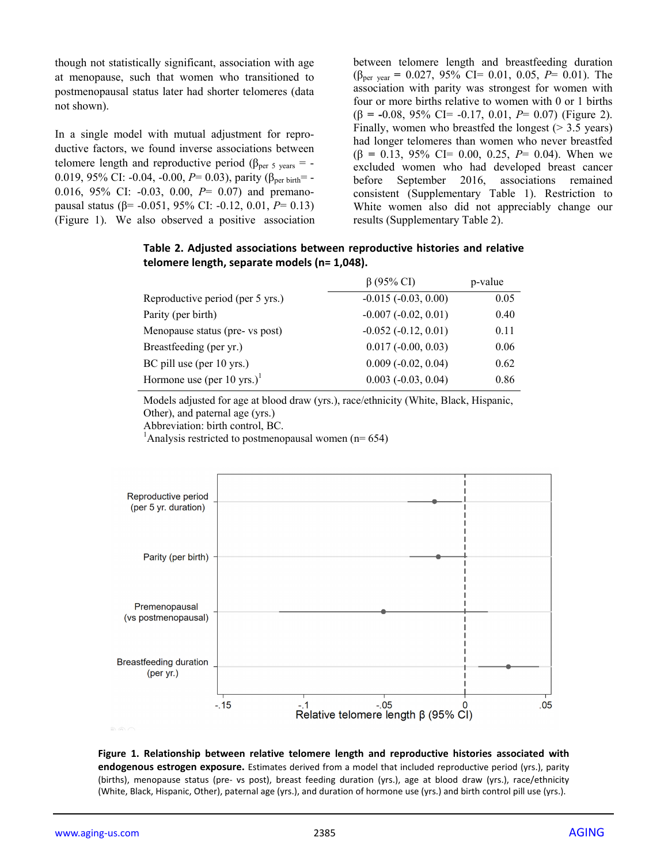though not statistically significant, association with age at menopause, such that women who transitioned to postmenopausal status later had shorter telomeres (data not shown).

In a single model with mutual adjustment for reproductive factors, we found inverse associations between telomere length and reproductive period ( $\beta_{\text{per 5 years}}$  = -0.019, 95% CI: -0.04, -0.00,  $P = 0.03$ ), parity ( $\beta_{\text{per birth}} = -$ 0.016, 95% CI: -0.03, 0.00, *P*= 0.07) and premanopausal status (β= -0.051, 95% CI: -0.12, 0.01, *P*= 0.13) (Figure 1). We also observed a positive association

between telomere length and breastfeeding duration (βper year **=** 0.027, 95% CI= 0.01, 0.05, *P*= 0.01). The association with parity was strongest for women with four or more births relative to women with 0 or 1 births (β **= -**0.08, 95% CI= -0.17, 0.01, *P*= 0.07) (Figure 2). Finally, women who breastfed the longest  $($  > 3.5 years) had longer telomeres than women who never breastfed (β **=** 0.13, 95% CI= 0.00, 0.25, *P*= 0.04). When we excluded women who had developed breast cancer before September 2016, associations remained consistent (Supplementary Table 1). Restriction to White women also did not appreciably change our results (Supplementary Table 2).

|                                        | $\beta$ (95% CI)             | p-value |
|----------------------------------------|------------------------------|---------|
| Reproductive period (per 5 yrs.)       | $-0.015(-0.03, 0.00)$        | 0.05    |
| Parity (per birth)                     | $-0.007 (-0.02, 0.01)$       | 0.40    |
| Menopause status (pre- vs post)        | $-0.052(-0.12, 0.01)$        | 0.11    |
| Breastfeeding (per yr.)                | $0.017 (-0.00, 0.03)$        | 0.06    |
| BC pill use (per 10 yrs.)              | $0.009(-0.02, 0.04)$         | 0.62    |
| Hormone use (per 10 yrs.) <sup>1</sup> | $0.003$ ( $-0.03$ , $0.04$ ) | 0.86    |

**Table 2. Adjusted associations between reproductive histories and relative telomere length, separate models (n= 1,048).**

Models adjusted for age at blood draw (yrs.), race/ethnicity (White, Black, Hispanic, Other), and paternal age (yrs.)

Abbreviation: birth control, BC.

<sup>1</sup>Analysis restricted to postmenopausal women ( $n=654$ )



**Figure 1. Relationship between relative telomere length and reproductive histories associated with endogenous estrogen exposure.** Estimates derived from a model that included reproductive period (yrs.), parity (births), menopause status (pre‐ vs post), breast feeding duration (yrs.), age at blood draw (yrs.), race/ethnicity (White, Black, Hispanic, Other), paternal age (yrs.), and duration of hormone use (yrs.) and birth control pill use (yrs.).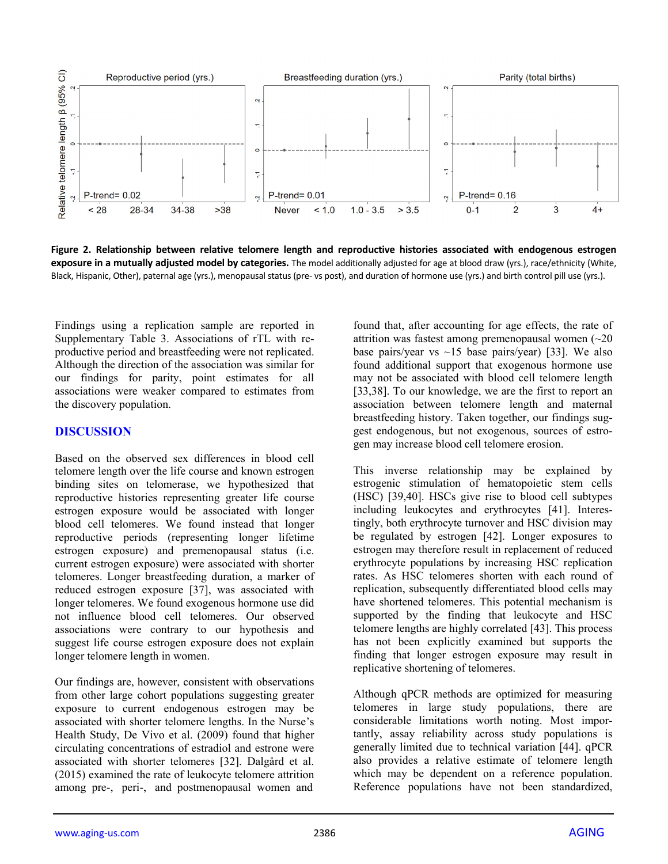

**Figure 2. Relationship between relative telomere length and reproductive histories associated with endogenous estrogen exposure in a mutually adjusted model by categories.** The model additionally adjusted for age at blood draw (yrs.), race/ethnicity (White, Black, Hispanic, Other), paternal age (yrs.), menopausal status (pre‐ vs post), and duration of hormone use (yrs.) and birth control pill use (yrs.).

Findings using a replication sample are reported in Supplementary Table 3. Associations of rTL with reproductive period and breastfeeding were not replicated. Although the direction of the association was similar for our findings for parity, point estimates for all associations were weaker compared to estimates from the discovery population.

#### **DISCUSSION**

Based on the observed sex differences in blood cell telomere length over the life course and known estrogen binding sites on telomerase, we hypothesized that reproductive histories representing greater life course estrogen exposure would be associated with longer blood cell telomeres. We found instead that longer reproductive periods (representing longer lifetime estrogen exposure) and premenopausal status (i.e. current estrogen exposure) were associated with shorter telomeres. Longer breastfeeding duration, a marker of reduced estrogen exposure [37], was associated with longer telomeres. We found exogenous hormone use did not influence blood cell telomeres. Our observed associations were contrary to our hypothesis and suggest life course estrogen exposure does not explain longer telomere length in women.

Our findings are, however, consistent with observations from other large cohort populations suggesting greater exposure to current endogenous estrogen may be associated with shorter telomere lengths. In the Nurse's Health Study, De Vivo et al. (2009) found that higher circulating concentrations of estradiol and estrone were associated with shorter telomeres [32]. Dalgård et al. (2015) examined the rate of leukocyte telomere attrition among pre-, peri-, and postmenopausal women and

found that, after accounting for age effects, the rate of attrition was fastest among premenopausal women  $(\sim 20)$ base pairs/year vs  $\sim$ 15 base pairs/year) [33]. We also found additional support that exogenous hormone use may not be associated with blood cell telomere length [33,38]. To our knowledge, we are the first to report an association between telomere length and maternal breastfeeding history. Taken together, our findings suggest endogenous, but not exogenous, sources of estrogen may increase blood cell telomere erosion.

This inverse relationship may be explained by estrogenic stimulation of hematopoietic stem cells (HSC) [39,40]. HSCs give rise to blood cell subtypes including leukocytes and erythrocytes [41]. Interestingly, both erythrocyte turnover and HSC division may be regulated by estrogen [42]. Longer exposures to estrogen may therefore result in replacement of reduced erythrocyte populations by increasing HSC replication rates. As HSC telomeres shorten with each round of replication, subsequently differentiated blood cells may have shortened telomeres. This potential mechanism is supported by the finding that leukocyte and HSC telomere lengths are highly correlated [43]. This process has not been explicitly examined but supports the finding that longer estrogen exposure may result in replicative shortening of telomeres.

Although qPCR methods are optimized for measuring telomeres in large study populations, there are considerable limitations worth noting. Most importantly, assay reliability across study populations is generally limited due to technical variation [44]. qPCR also provides a relative estimate of telomere length which may be dependent on a reference population. Reference populations have not been standardized,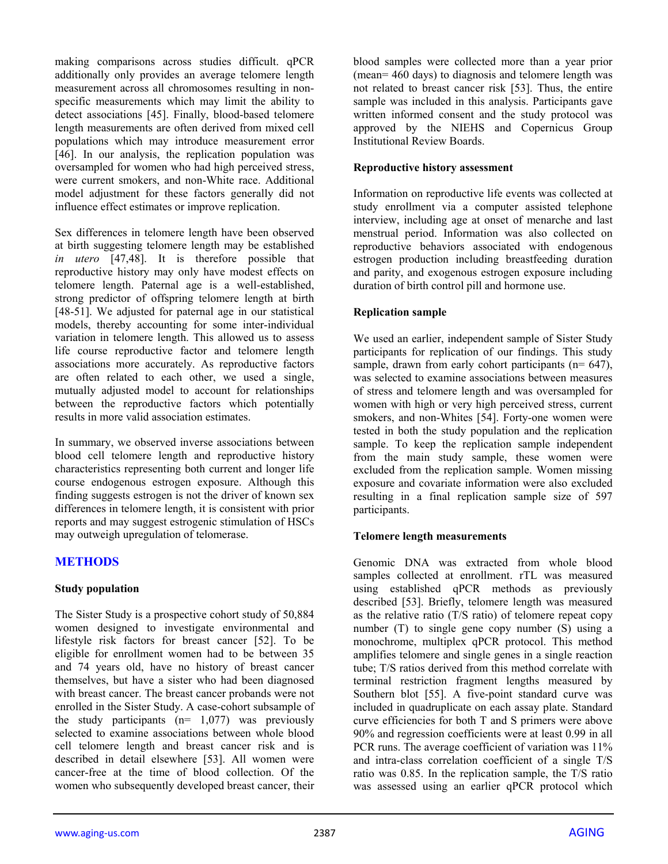making comparisons across studies difficult. qPCR additionally only provides an average telomere length measurement across all chromosomes resulting in nonspecific measurements which may limit the ability to detect associations [45]. Finally, blood-based telomere length measurements are often derived from mixed cell populations which may introduce measurement error [46]. In our analysis, the replication population was oversampled for women who had high perceived stress, were current smokers, and non-White race. Additional model adjustment for these factors generally did not influence effect estimates or improve replication.

Sex differences in telomere length have been observed at birth suggesting telomere length may be established *in utero* [47,48]. It is therefore possible that reproductive history may only have modest effects on telomere length. Paternal age is a well-established, strong predictor of offspring telomere length at birth [48-51]. We adjusted for paternal age in our statistical models, thereby accounting for some inter-individual variation in telomere length. This allowed us to assess life course reproductive factor and telomere length associations more accurately. As reproductive factors are often related to each other, we used a single, mutually adjusted model to account for relationships between the reproductive factors which potentially results in more valid association estimates.

In summary, we observed inverse associations between blood cell telomere length and reproductive history characteristics representing both current and longer life course endogenous estrogen exposure. Although this finding suggests estrogen is not the driver of known sex differences in telomere length, it is consistent with prior reports and may suggest estrogenic stimulation of HSCs may outweigh upregulation of telomerase.

## **METHODS**

#### **Study population**

The Sister Study is a prospective cohort study of 50,884 women designed to investigate environmental and lifestyle risk factors for breast cancer [52]. To be eligible for enrollment women had to be between 35 and 74 years old, have no history of breast cancer themselves, but have a sister who had been diagnosed with breast cancer. The breast cancer probands were not enrolled in the Sister Study. A case-cohort subsample of the study participants  $(n= 1,077)$  was previously selected to examine associations between whole blood cell telomere length and breast cancer risk and is described in detail elsewhere [53]. All women were cancer-free at the time of blood collection. Of the women who subsequently developed breast cancer, their

blood samples were collected more than a year prior (mean= 460 days) to diagnosis and telomere length was not related to breast cancer risk [53]. Thus, the entire sample was included in this analysis. Participants gave written informed consent and the study protocol was approved by the NIEHS and Copernicus Group Institutional Review Boards.

#### **Reproductive history assessment**

Information on reproductive life events was collected at study enrollment via a computer assisted telephone interview, including age at onset of menarche and last menstrual period. Information was also collected on reproductive behaviors associated with endogenous estrogen production including breastfeeding duration and parity, and exogenous estrogen exposure including duration of birth control pill and hormone use.

#### **Replication sample**

We used an earlier, independent sample of Sister Study participants for replication of our findings. This study sample, drawn from early cohort participants ( $n= 647$ ), was selected to examine associations between measures of stress and telomere length and was oversampled for women with high or very high perceived stress, current smokers, and non-Whites [54]. Forty-one women were tested in both the study population and the replication sample. To keep the replication sample independent from the main study sample, these women were excluded from the replication sample. Women missing exposure and covariate information were also excluded resulting in a final replication sample size of 597 participants.

#### **Telomere length measurements**

Genomic DNA was extracted from whole blood samples collected at enrollment. rTL was measured using established qPCR methods as previously described [53]. Briefly, telomere length was measured as the relative ratio (T/S ratio) of telomere repeat copy number (T) to single gene copy number (S) using a monochrome, multiplex qPCR protocol. This method amplifies telomere and single genes in a single reaction tube; T/S ratios derived from this method correlate with terminal restriction fragment lengths measured by Southern blot [55]. A five-point standard curve was included in quadruplicate on each assay plate. Standard curve efficiencies for both T and S primers were above 90% and regression coefficients were at least 0.99 in all PCR runs. The average coefficient of variation was 11% and intra-class correlation coefficient of a single T/S ratio was 0.85. In the replication sample, the T/S ratio was assessed using an earlier qPCR protocol which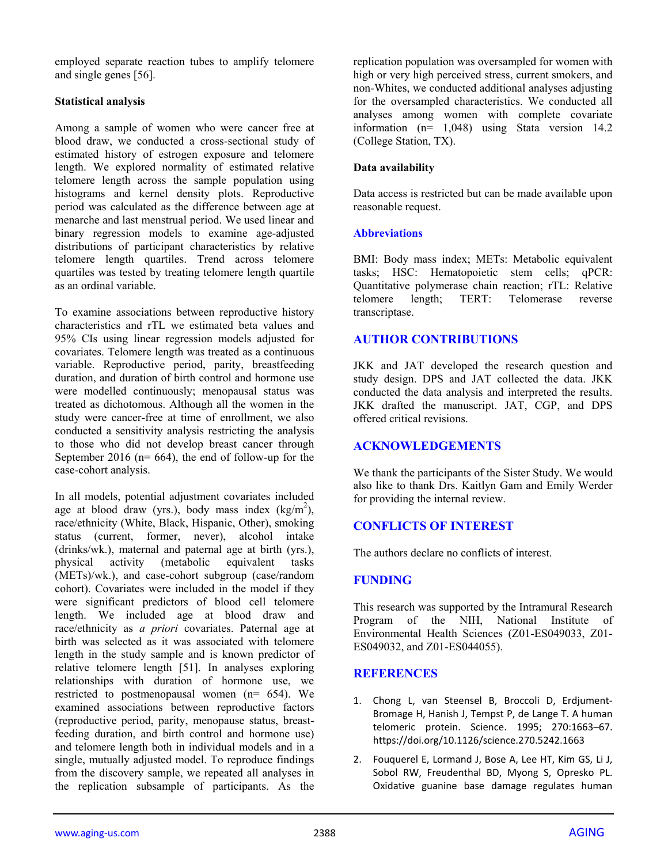employed separate reaction tubes to amplify telomere and single genes [56].

### **Statistical analysis**

Among a sample of women who were cancer free at blood draw, we conducted a cross-sectional study of estimated history of estrogen exposure and telomere length. We explored normality of estimated relative telomere length across the sample population using histograms and kernel density plots. Reproductive period was calculated as the difference between age at menarche and last menstrual period. We used linear and binary regression models to examine age-adjusted distributions of participant characteristics by relative telomere length quartiles. Trend across telomere quartiles was tested by treating telomere length quartile as an ordinal variable.

To examine associations between reproductive history characteristics and rTL we estimated beta values and 95% CIs using linear regression models adjusted for covariates. Telomere length was treated as a continuous variable. Reproductive period, parity, breastfeeding duration, and duration of birth control and hormone use were modelled continuously; menopausal status was treated as dichotomous. Although all the women in the study were cancer-free at time of enrollment, we also conducted a sensitivity analysis restricting the analysis to those who did not develop breast cancer through September 2016 ( $n= 664$ ), the end of follow-up for the case-cohort analysis.

In all models, potential adjustment covariates included age at blood draw (yrs.), body mass index  $(kg/m^2)$ , race/ethnicity (White, Black, Hispanic, Other), smoking status (current, former, never), alcohol intake (drinks/wk.), maternal and paternal age at birth (yrs.), physical activity (metabolic equivalent tasks physical activity (metabolic (METs)/wk.), and case-cohort subgroup (case/random cohort). Covariates were included in the model if they were significant predictors of blood cell telomere length. We included age at blood draw and race/ethnicity as *a priori* covariates. Paternal age at birth was selected as it was associated with telomere length in the study sample and is known predictor of relative telomere length [51]. In analyses exploring relationships with duration of hormone use, we restricted to postmenopausal women (n= 654). We examined associations between reproductive factors (reproductive period, parity, menopause status, breastfeeding duration, and birth control and hormone use) and telomere length both in individual models and in a single, mutually adjusted model. To reproduce findings from the discovery sample, we repeated all analyses in the replication subsample of participants. As the

replication population was oversampled for women with high or very high perceived stress, current smokers, and non-Whites, we conducted additional analyses adjusting for the oversampled characteristics. We conducted all analyses among women with complete covariate information (n= 1,048) using Stata version 14.2 (College Station, TX).

## **Data availability**

Data access is restricted but can be made available upon reasonable request.

#### **Abbreviations**

BMI: Body mass index; METs: Metabolic equivalent tasks; HSC: Hematopoietic stem cells; qPCR: Quantitative polymerase chain reaction; rTL: Relative telomere length; TERT: Telomerase reverse transcriptase.

## **AUTHOR CONTRIBUTIONS**

JKK and JAT developed the research question and study design. DPS and JAT collected the data. JKK conducted the data analysis and interpreted the results. JKK drafted the manuscript. JAT, CGP, and DPS offered critical revisions.

## **ACKNOWLEDGEMENTS**

We thank the participants of the Sister Study. We would also like to thank Drs. Kaitlyn Gam and Emily Werder for providing the internal review.

## **CONFLICTS OF INTEREST**

The authors declare no conflicts of interest.

## **FUNDING**

This research was supported by the Intramural Research Program of the NIH, National Institute of Environmental Health Sciences (Z01-ES049033, Z01- ES049032, and Z01-ES044055).

#### **REFERENCES**

- 1. Chong L, van Steensel B, Broccoli D, Erdjument‐ Bromage H, Hanish J, Tempst P, de Lange T. A human telomeric protein. Science. 1995; 270:1663–67. https://doi.org/10.1126/science.270.5242.1663
- 2. Fouquerel E, Lormand J, Bose A, Lee HT, Kim GS, Li J, Sobol RW, Freudenthal BD, Myong S, Opresko PL. Oxidative guanine base damage regulates human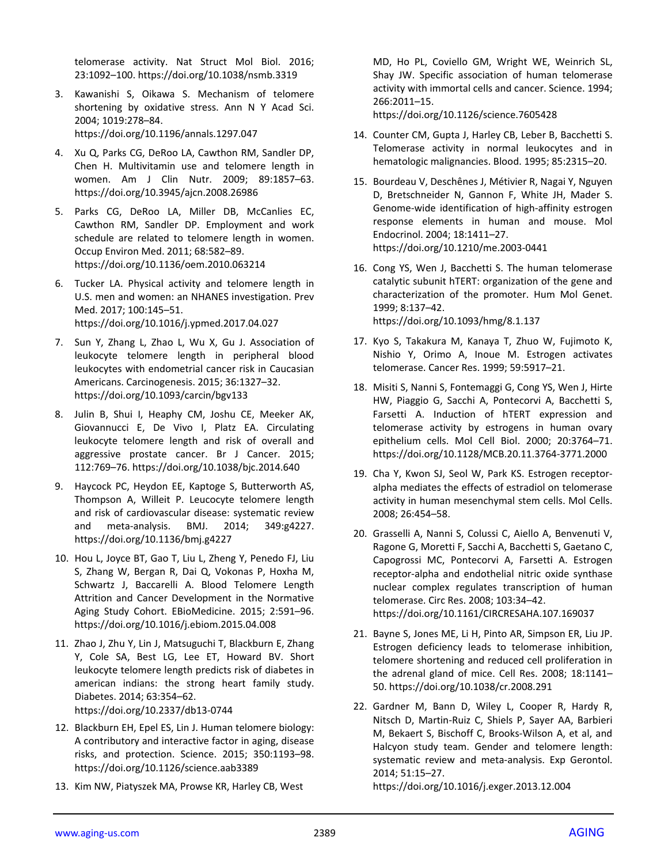telomerase activity. Nat Struct Mol Biol. 2016; 23:1092–100. https://doi.org/10.1038/nsmb.3319

- 3. Kawanishi S, Oikawa S. Mechanism of telomere shortening by oxidative stress. Ann N Y Acad Sci. 2004; 1019:278–84. https://doi.org/10.1196/annals.1297.047
- 4. Xu Q, Parks CG, DeRoo LA, Cawthon RM, Sandler DP, Chen H. Multivitamin use and telomere length in women. Am J Clin Nutr. 2009; 89:1857–63. https://doi.org/10.3945/ajcn.2008.26986
- 5. Parks CG, DeRoo LA, Miller DB, McCanlies EC, Cawthon RM, Sandler DP. Employment and work schedule are related to telomere length in women. Occup Environ Med. 2011; 68:582–89. https://doi.org/10.1136/oem.2010.063214
- 6. Tucker LA. Physical activity and telomere length in U.S. men and women: an NHANES investigation. Prev Med. 2017; 100:145–51. https://doi.org/10.1016/j.ypmed.2017.04.027
- 7. Sun Y, Zhang L, Zhao L, Wu X, Gu J. Association of leukocyte telomere length in peripheral blood leukocytes with endometrial cancer risk in Caucasian Americans. Carcinogenesis. 2015; 36:1327–32. https://doi.org/10.1093/carcin/bgv133
- 8. Julin B, Shui I, Heaphy CM, Joshu CE, Meeker AK, Giovannucci E, De Vivo I, Platz EA. Circulating leukocyte telomere length and risk of overall and aggressive prostate cancer. Br J Cancer. 2015; 112:769–76. https://doi.org/10.1038/bjc.2014.640
- 9. Haycock PC, Heydon EE, Kaptoge S, Butterworth AS, Thompson A, Willeit P. Leucocyte telomere length and risk of cardiovascular disease: systematic review and meta‐analysis. BMJ. 2014; 349:g4227. https://doi.org/10.1136/bmj.g4227
- 10. Hou L, Joyce BT, Gao T, Liu L, Zheng Y, Penedo FJ, Liu S, Zhang W, Bergan R, Dai Q, Vokonas P, Hoxha M, Schwartz J, Baccarelli A. Blood Telomere Length Attrition and Cancer Development in the Normative Aging Study Cohort. EBioMedicine. 2015; 2:591–96. https://doi.org/10.1016/j.ebiom.2015.04.008
- 11. Zhao J, Zhu Y, Lin J, Matsuguchi T, Blackburn E, Zhang Y, Cole SA, Best LG, Lee ET, Howard BV. Short leukocyte telomere length predicts risk of diabetes in american indians: the strong heart family study. Diabetes. 2014; 63:354–62. https://doi.org/10.2337/db13‐0744
- 12. Blackburn EH, Epel ES, Lin J. Human telomere biology: A contributory and interactive factor in aging, disease risks, and protection. Science. 2015; 350:1193–98. https://doi.org/10.1126/science.aab3389
- 13. Kim NW, Piatyszek MA, Prowse KR, Harley CB, West

MD, Ho PL, Coviello GM, Wright WE, Weinrich SL, Shay JW. Specific association of human telomerase activity with immortal cells and cancer. Science. 1994; 266:2011–15.

https://doi.org/10.1126/science.7605428

- 14. Counter CM, Gupta J, Harley CB, Leber B, Bacchetti S. Telomerase activity in normal leukocytes and in hematologic malignancies. Blood. 1995; 85:2315–20.
- 15. Bourdeau V, Deschênes J, Métivier R, Nagai Y, Nguyen D, Bretschneider N, Gannon F, White JH, Mader S. Genome‐wide identification of high‐affinity estrogen response elements in human and mouse. Mol Endocrinol. 2004; 18:1411–27. https://doi.org/10.1210/me.2003‐0441
- 16. Cong YS, Wen J, Bacchetti S. The human telomerase catalytic subunit hTERT: organization of the gene and characterization of the promoter. Hum Mol Genet. 1999; 8:137–42. https://doi.org/10.1093/hmg/8.1.137
- 17. Kyo S, Takakura M, Kanaya T, Zhuo W, Fujimoto K, Nishio Y, Orimo A, Inoue M. Estrogen activates telomerase. Cancer Res. 1999; 59:5917–21.
- 18. Misiti S, Nanni S, Fontemaggi G, Cong YS, Wen J, Hirte HW, Piaggio G, Sacchi A, Pontecorvi A, Bacchetti S, Farsetti A. Induction of hTERT expression and telomerase activity by estrogens in human ovary epithelium cells. Mol Cell Biol. 2000; 20:3764–71. https://doi.org/10.1128/MCB.20.11.3764‐3771.2000
- 19. Cha Y, Kwon SJ, Seol W, Park KS. Estrogen receptor‐ alpha mediates the effects of estradiol on telomerase activity in human mesenchymal stem cells. Mol Cells. 2008; 26:454–58.
- 20. Grasselli A, Nanni S, Colussi C, Aiello A, Benvenuti V, Ragone G, Moretti F, Sacchi A, Bacchetti S, Gaetano C, Capogrossi MC, Pontecorvi A, Farsetti A. Estrogen receptor‐alpha and endothelial nitric oxide synthase nuclear complex regulates transcription of human telomerase. Circ Res. 2008; 103:34–42. https://doi.org/10.1161/CIRCRESAHA.107.169037
- 21. Bayne S, Jones ME, Li H, Pinto AR, Simpson ER, Liu JP. Estrogen deficiency leads to telomerase inhibition, telomere shortening and reduced cell proliferation in the adrenal gland of mice. Cell Res. 2008; 18:1141– 50. https://doi.org/10.1038/cr.2008.291
- 22. Gardner M, Bann D, Wiley L, Cooper R, Hardy R, Nitsch D, Martin‐Ruiz C, Shiels P, Sayer AA, Barbieri M, Bekaert S, Bischoff C, Brooks‐Wilson A, et al, and Halcyon study team. Gender and telomere length: systematic review and meta‐analysis. Exp Gerontol. 2014; 51:15–27.

https://doi.org/10.1016/j.exger.2013.12.004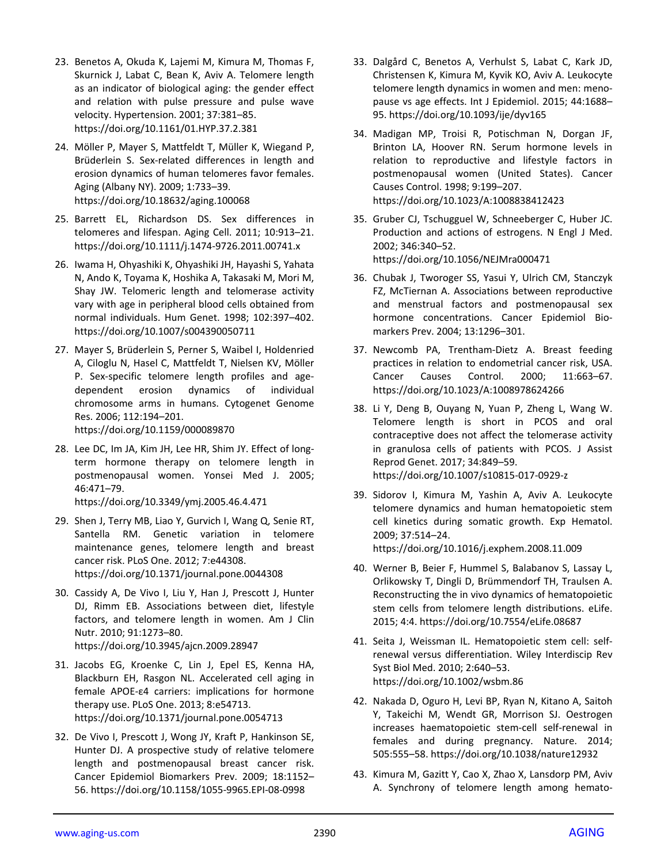- 23. Benetos A, Okuda K, Lajemi M, Kimura M, Thomas F, Skurnick J, Labat C, Bean K, Aviv A. Telomere length as an indicator of biological aging: the gender effect and relation with pulse pressure and pulse wave velocity. Hypertension. 2001; 37:381–85. https://doi.org/10.1161/01.HYP.37.2.381
- 24. Möller P, Mayer S, Mattfeldt T, Müller K, Wiegand P, Brüderlein S. Sex‐related differences in length and erosion dynamics of human telomeres favor females. Aging (Albany NY). 2009; 1:733–39. https://doi.org/10.18632/aging.100068
- 25. Barrett EL, Richardson DS. Sex differences in telomeres and lifespan. Aging Cell. 2011; 10:913–21. https://doi.org/10.1111/j.1474‐9726.2011.00741.x
- 26. Iwama H, Ohyashiki K, Ohyashiki JH, Hayashi S, Yahata N, Ando K, Toyama K, Hoshika A, Takasaki M, Mori M, Shay JW. Telomeric length and telomerase activity vary with age in peripheral blood cells obtained from normal individuals. Hum Genet. 1998; 102:397–402. https://doi.org/10.1007/s004390050711
- 27. Mayer S, Brüderlein S, Perner S, Waibel I, Holdenried A, Ciloglu N, Hasel C, Mattfeldt T, Nielsen KV, Möller P. Sex‐specific telomere length profiles and age‐ dependent erosion dynamics of individual chromosome arms in humans. Cytogenet Genome Res. 2006; 112:194–201.

https://doi.org/10.1159/000089870

28. Lee DC, Im JA, Kim JH, Lee HR, Shim JY. Effect of long‐ term hormone therapy on telomere length in postmenopausal women. Yonsei Med J. 2005; 46:471–79.

https://doi.org/10.3349/ymj.2005.46.4.471

- 29. Shen J, Terry MB, Liao Y, Gurvich I, Wang Q, Senie RT, Santella RM. Genetic variation in telomere maintenance genes, telomere length and breast cancer risk. PLoS One. 2012; 7:e44308. https://doi.org/10.1371/journal.pone.0044308
- 30. Cassidy A, De Vivo I, Liu Y, Han J, Prescott J, Hunter DJ, Rimm EB. Associations between diet, lifestyle factors, and telomere length in women. Am J Clin Nutr. 2010; 91:1273–80. https://doi.org/10.3945/ajcn.2009.28947
- 31. Jacobs EG, Kroenke C, Lin J, Epel ES, Kenna HA, Blackburn EH, Rasgon NL. Accelerated cell aging in female APOE‐ε4 carriers: implications for hormone therapy use. PLoS One. 2013; 8:e54713. https://doi.org/10.1371/journal.pone.0054713
- 32. De Vivo I, Prescott J, Wong JY, Kraft P, Hankinson SE, Hunter DJ. A prospective study of relative telomere length and postmenopausal breast cancer risk. Cancer Epidemiol Biomarkers Prev. 2009; 18:1152– 56. https://doi.org/10.1158/1055‐9965.EPI‐08‐0998
- 33. Dalgård C, Benetos A, Verhulst S, Labat C, Kark JD, Christensen K, Kimura M, Kyvik KO, Aviv A. Leukocyte telomere length dynamics in women and men: meno‐ pause vs age effects. Int J Epidemiol. 2015; 44:1688– 95. https://doi.org/10.1093/ije/dyv165
- 34. Madigan MP, Troisi R, Potischman N, Dorgan JF, Brinton LA, Hoover RN. Serum hormone levels in relation to reproductive and lifestyle factors in postmenopausal women (United States). Cancer Causes Control. 1998; 9:199–207. https://doi.org/10.1023/A:1008838412423
- 35. Gruber CJ, Tschugguel W, Schneeberger C, Huber JC. Production and actions of estrogens. N Engl J Med. 2002; 346:340–52. https://doi.org/10.1056/NEJMra000471
- 36. Chubak J, Tworoger SS, Yasui Y, Ulrich CM, Stanczyk FZ, McTiernan A. Associations between reproductive and menstrual factors and postmenopausal sex hormone concentrations. Cancer Epidemiol Biomarkers Prev. 2004; 13:1296–301.
- 37. Newcomb PA, Trentham‐Dietz A. Breast feeding practices in relation to endometrial cancer risk, USA. Cancer Causes Control. 2000; 11:663–67. https://doi.org/10.1023/A:1008978624266
- 38. Li Y, Deng B, Ouyang N, Yuan P, Zheng L, Wang W. Telomere length is short in PCOS and oral contraceptive does not affect the telomerase activity in granulosa cells of patients with PCOS. J Assist Reprod Genet. 2017; 34:849–59. https://doi.org/10.1007/s10815‐017‐0929‐z
- 39. Sidorov I, Kimura M, Yashin A, Aviv A. Leukocyte telomere dynamics and human hematopoietic stem cell kinetics during somatic growth. Exp Hematol. 2009; 37:514–24.

https://doi.org/10.1016/j.exphem.2008.11.009

- 40. Werner B, Beier F, Hummel S, Balabanov S, Lassay L, Orlikowsky T, Dingli D, Brümmendorf TH, Traulsen A. Reconstructing the in vivo dynamics of hematopoietic stem cells from telomere length distributions. eLife. 2015; 4:4. https://doi.org/10.7554/eLife.08687
- 41. Seita J, Weissman IL. Hematopoietic stem cell: self‐ renewal versus differentiation. Wiley Interdiscip Rev Syst Biol Med. 2010; 2:640–53. https://doi.org/10.1002/wsbm.86
- 42. Nakada D, Oguro H, Levi BP, Ryan N, Kitano A, Saitoh Y, Takeichi M, Wendt GR, Morrison SJ. Oestrogen increases haematopoietic stem‐cell self‐renewal in females and during pregnancy. Nature. 2014; 505:555–58. https://doi.org/10.1038/nature12932
- 43. Kimura M, Gazitt Y, Cao X, Zhao X, Lansdorp PM, Aviv A. Syn*c*hrony of telomere length among hemato‐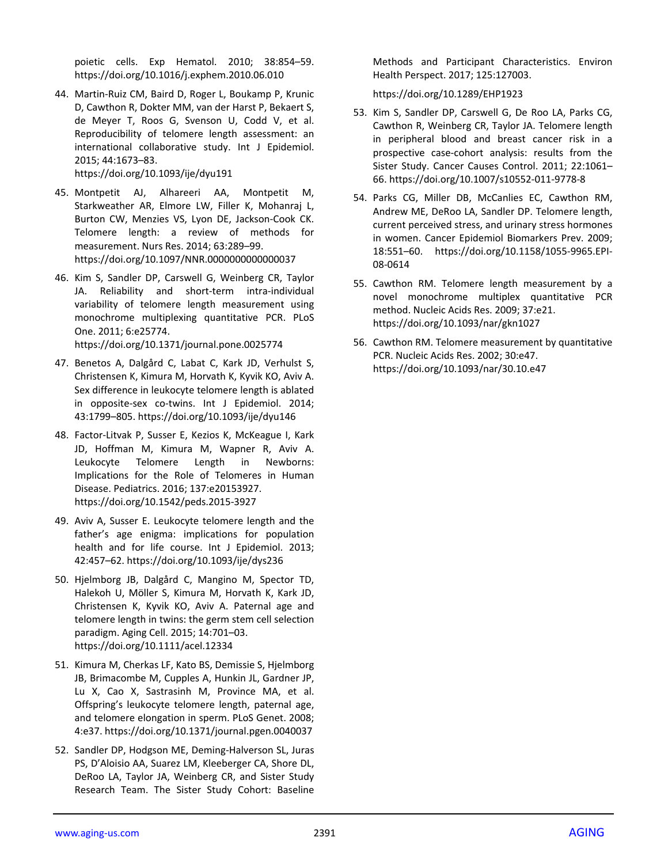poietic cells. Exp Hematol. 2010; 38:854–59. https://doi.org/10.1016/j.exphem.2010.06.010

44. Martin‐Ruiz CM, Baird D, Roger L, Boukamp P, Krunic D, Cawthon R, Dokter MM, van der Harst P, Bekaert S, de Meyer T, Roos G, Svenson U, Codd V, et al. Reproducibility of telomere length assessment: an international collaborative study. Int J Epidemiol. 2015; 44:1673–83.

#### https://doi.org/10.1093/ije/dyu191

- 45. Montpetit AJ, Alhareeri AA, Montpetit M, Starkweather AR, Elmore LW, Filler K, Mohanraj L, Burton CW, Menzies VS, Lyon DE, Jackson‐Cook CK. Telomere length: a review of methods for measurement. Nurs Res. 2014; 63:289–99. https://doi.org/10.1097/NNR.0000000000000037
- 46. Kim S, Sandler DP, Carswell G, Weinberg CR, Taylor JA. Reliability and short-term intra-individual variability of telomere length measurement using monochrome multiplexing quantitative PCR. PLoS One. 2011; 6:e25774. https://doi.org/10.1371/journal.pone.0025774
- 47. Benetos A, Dalgård C, Labat C, Kark JD, Verhulst S, Christensen K, Kimura M, Horvath K, Kyvik KO, Aviv A. Sex difference in leukocyte telomere length is ablated in opposite-sex co-twins. Int J Epidemiol. 2014; 43:1799–805. https://doi.org/10.1093/ije/dyu146
- 48. Factor‐Litvak P, Susser E, Kezios K, McKeague I, Kark JD, Hoffman M, Kimura M, Wapner R, Aviv A. Leukocyte Telomere Length in Newborns: Implications for the Role of Telomeres in Human Disease. Pediatrics. 2016; 137:e20153927. https://doi.org/10.1542/peds.2015‐3927
- 49. Aviv A, Susser E. Leukocyte telomere length and the father's age enigma: implications for population health and for life course. Int J Epidemiol. 2013; 42:457–62. https://doi.org/10.1093/ije/dys236
- 50. Hjelmborg JB, Dalgård C, Mangino M, Spector TD, Halekoh U, Möller S, Kimura M, Horvath K, Kark JD, Christensen K, Kyvik KO, Aviv A. Paternal age and telomere length in twins: the germ stem cell selection paradigm. Aging Cell. 2015; 14:701–03. https://doi.org/10.1111/acel.12334
- 51. Kimura M, Cherkas LF, Kato BS, Demissie S, Hjelmborg JB, Brimacombe M, Cupples A, Hunkin JL, Gardner JP, Lu X, Cao X, Sastrasinh M, Province MA, et al. Offspring's leukocyte telomere length, paternal age, and telomere elongation in sperm. PLoS Genet. 2008; 4:e37. https://doi.org/10.1371/journal.pgen.0040037
- 52. Sandler DP, Hodgson ME, Deming‐Halverson SL, Juras PS, D'Aloisio AA, Suarez LM, Kleeberger CA, Shore DL, DeRoo LA, Taylor JA, Weinberg CR, and Sister Study Research Team. The Sister Study Cohort: Baseline

Methods and Participant Characteristics. Environ Health Perspect. 2017; 125:127003.

https://doi.org/10.1289/EHP1923

- 53. Kim S, Sandler DP, Carswell G, De Roo LA, Parks CG, Cawthon R, Weinberg CR, Taylor JA. Telomere length in peripheral blood and breast cancer risk in a prospective case‐cohort analysis: results from the Sister Study. Cancer Causes Control. 2011; 22:1061– 66. https://doi.org/10.1007/s10552‐011‐9778‐8
- 54. Parks CG, Miller DB, McCanlies EC, Cawthon RM, Andrew ME, DeRoo LA, Sandler DP. Telomere length, current perceived stress, and urinary stress hormones in women. Cancer Epidemiol Biomarkers Prev. 2009; 18:551–60. https://doi.org/10.1158/1055‐9965.EPI‐ 08‐0614
- 55. Cawthon RM. Telomere length measurement by a novel monochrome multiplex quantitative PCR method. Nucleic Acids Res. 2009; 37:e21. https://doi.org/10.1093/nar/gkn1027
- 56. Cawthon RM. Telomere measurement by quantitative PCR. Nucleic Acids Res. 2002; 30:e47. https://doi.org/10.1093/nar/30.10.e47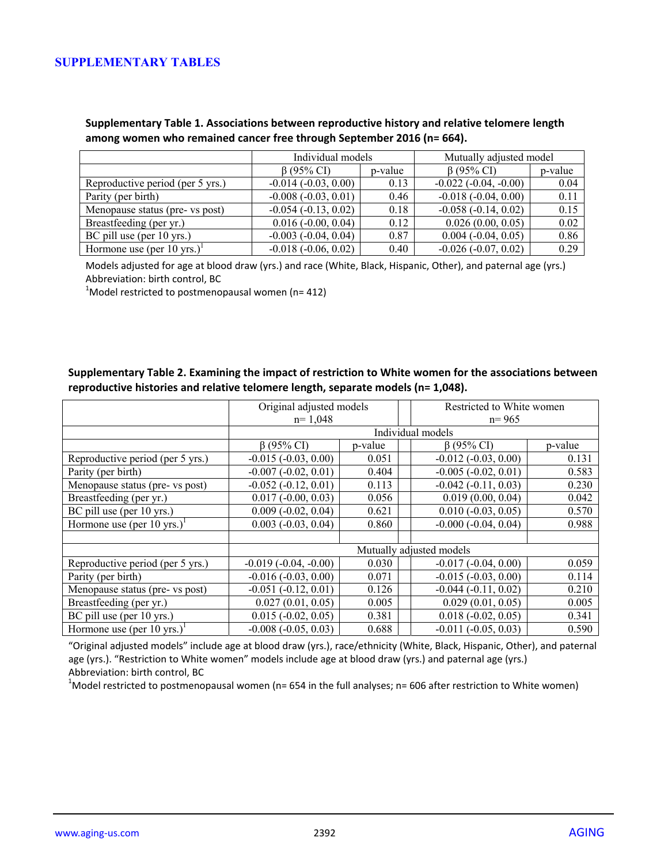## **SUPPLEMENTARY TABLES**

**Supplementary Table 1. Associations between reproductive history and relative telomere length among women who remained cancer free through September 2016 (n= 664).**

|                                  | Individual models        |         | Mutually adjusted model        |         |  |
|----------------------------------|--------------------------|---------|--------------------------------|---------|--|
|                                  | $\beta$ (95% CI)         | p-value | $\beta$ (95% CI)               | p-value |  |
| Reproductive period (per 5 yrs.) | $-0.014(-0.03, 0.00)$    | 0.13    | $-0.022$ ( $-0.04$ , $-0.00$ ) | 0.04    |  |
| Parity (per birth)               | $-0.008(-0.03, 0.01)$    | 0.46    | $-0.018(-0.04, 0.00)$          | 0.11    |  |
| Menopause status (pre- vs post)  | $-0.054(-0.13, 0.02)$    | 0.18    | $-0.058(-0.14, 0.02)$          | 0.15    |  |
| Breastfeeding (per yr.)          | $0.016 (-0.00, 0.04)$    | 0.12    | 0.026(0.00, 0.05)              | 0.02    |  |
| BC pill use (per 10 yrs.)        | $-0.003$ $(-0.04, 0.04)$ | 0.87    | $0.004 (-0.04, 0.05)$          | 0.86    |  |
| Hormone use (per 10 yrs.)        | $-0.018(-0.06, 0.02)$    | 0.40    | $-0.026(-0.07, 0.02)$          | 0.29    |  |

Models adjusted for age at blood draw (yrs.) and race (White, Black, Hispanic, Other), and paternal age (yrs.) Abbreviation: birth control, BC <sup>1</sup>

 $1$ Model restricted to postmenopausal women (n= 412)

### **Supplementary Table 2. Examining the impact of restriction to White women for the associations between reproductive histories and relative telomere length, separate models (n= 1,048).**

|                                        | Original adjusted models<br>$n=1,048$ |         |  | Restricted to White women<br>$n = 965$ |         |
|----------------------------------------|---------------------------------------|---------|--|----------------------------------------|---------|
|                                        | Individual models                     |         |  |                                        |         |
|                                        | $\beta$ (95% CI)                      | p-value |  | $\beta$ (95% CI)                       | p-value |
| Reproductive period (per 5 yrs.)       | $-0.015(-0.03, 0.00)$                 | 0.051   |  | $-0.012$ $(-0.03, 0.00)$               | 0.131   |
| Parity (per birth)                     | $-0.007(-0.02, 0.01)$                 | 0.404   |  | $-0.005 (-0.02, 0.01)$                 | 0.583   |
| Menopause status (pre- vs post)        | $-0.052(-0.12, 0.01)$                 | 0.113   |  | $-0.042$ $(-0.11, 0.03)$               | 0.230   |
| Breastfeeding (per yr.)                | $0.017 (-0.00, 0.03)$                 | 0.056   |  | 0.019(0.00, 0.04)                      | 0.042   |
| BC pill use (per 10 yrs.)              | $0.009(-0.02, 0.04)$                  | 0.621   |  | $0.010 (-0.03, 0.05)$                  | 0.570   |
| Hormone use (per 10 yrs.) <sup>1</sup> | $0.003$ ( $-0.03$ , $0.04$ )          | 0.860   |  | $-0.000$ $(-0.04, 0.04)$               | 0.988   |
|                                        |                                       |         |  |                                        |         |
|                                        | Mutually adjusted models              |         |  |                                        |         |
| Reproductive period (per 5 yrs.)       | $-0.019(-0.04, -0.00)$                | 0.030   |  | $-0.017(-0.04, 0.00)$                  | 0.059   |
| Parity (per birth)                     | $-0.016(-0.03, 0.00)$                 | 0.071   |  | $-0.015(-0.03, 0.00)$                  | 0.114   |
| Menopause status (pre- vs post)        | $-0.051(-0.12, 0.01)$                 | 0.126   |  | $-0.044$ $(-0.11, 0.02)$               | 0.210   |
| Breastfeeding (per yr.)                | 0.027(0.01, 0.05)                     | 0.005   |  | 0.029(0.01, 0.05)                      | 0.005   |
| BC pill use (per 10 yrs.)              | $0.015 (-0.02, 0.05)$                 | 0.381   |  | $0.018 (-0.02, 0.05)$                  | 0.341   |
| Hormone use (per 10 yrs.) <sup>1</sup> | $-0.008(-0.05, 0.03)$                 | 0.688   |  | $-0.011(-0.05, 0.03)$                  | 0.590   |

"Original adjusted models" include age at blood draw (yrs.), race/ethnicity (White, Black, Hispanic, Other), and paternal age (yrs.). "Restriction to White women" models include age at blood draw (yrs.) and paternal age (yrs.) Abbreviation: birth control, BC <sup>1</sup>

<sup>1</sup>Model restricted to postmenopausal women (n= 654 in the full analyses; n= 606 after restriction to White women)